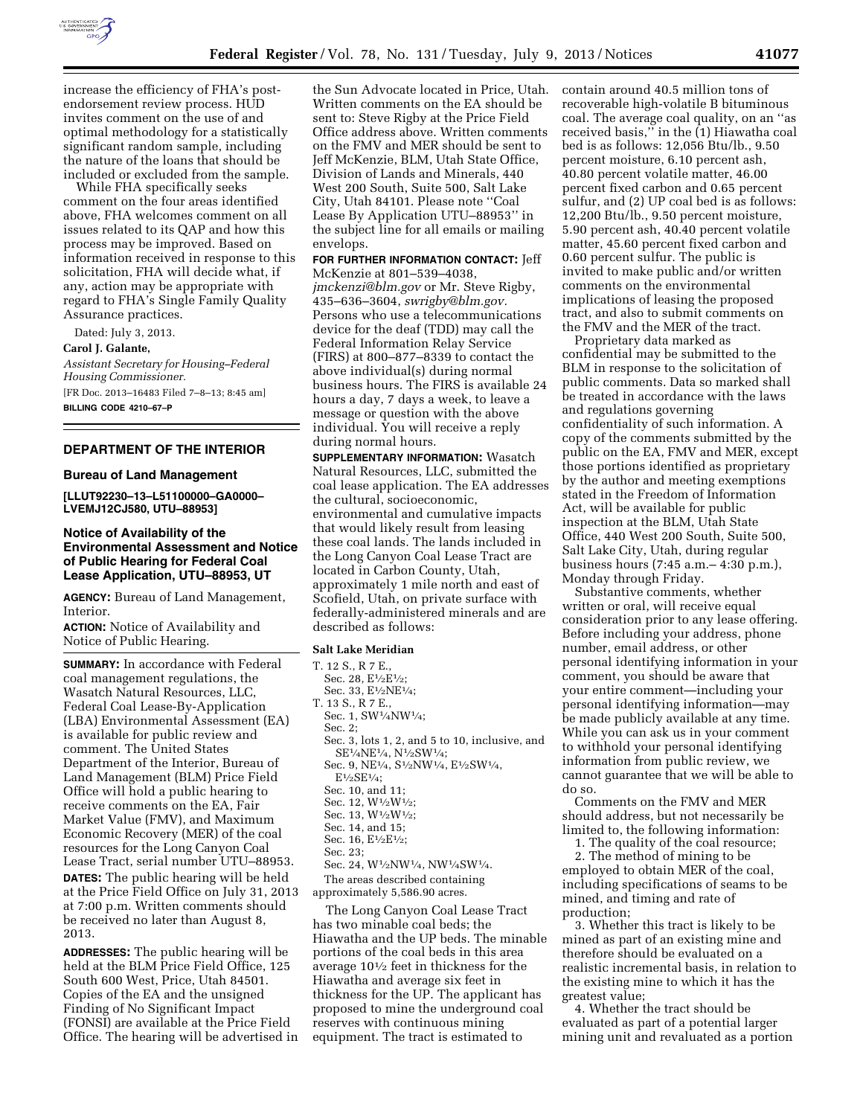

increase the efficiency of FHA's postendorsement review process. HUD invites comment on the use of and optimal methodology for a statistically significant random sample, including the nature of the loans that should be included or excluded from the sample.

While FHA specifically seeks comment on the four areas identified above, FHA welcomes comment on all issues related to its QAP and how this process may be improved. Based on information received in response to this solicitation, FHA will decide what, if any, action may be appropriate with regard to FHA's Single Family Quality Assurance practices.

Dated: July 3, 2013.

**Carol J. Galante,** 

*Assistant Secretary for Housing–Federal Housing Commissioner.*  [FR Doc. 2013–16483 Filed 7–8–13; 8:45 am] **BILLING CODE 4210–67–P** 

## **DEPARTMENT OF THE INTERIOR**

### **Bureau of Land Management**

**[LLUT92230–13–L51100000–GA0000– LVEMJ12CJ580, UTU–88953]** 

## **Notice of Availability of the Environmental Assessment and Notice of Public Hearing for Federal Coal Lease Application, UTU–88953, UT**

**AGENCY:** Bureau of Land Management, Interior.

**ACTION:** Notice of Availability and Notice of Public Hearing.

**SUMMARY:** In accordance with Federal coal management regulations, the Wasatch Natural Resources, LLC, Federal Coal Lease-By-Application (LBA) Environmental Assessment (EA) is available for public review and comment. The United States Department of the Interior, Bureau of Land Management (BLM) Price Field Office will hold a public hearing to receive comments on the EA, Fair Market Value (FMV), and Maximum Economic Recovery (MER) of the coal resources for the Long Canyon Coal Lease Tract, serial number UTU–88953. **DATES:** The public hearing will be held at the Price Field Office on July 31, 2013 at 7:00 p.m. Written comments should be received no later than August 8, 2013.

**ADDRESSES:** The public hearing will be held at the BLM Price Field Office, 125 South 600 West, Price, Utah 84501. Copies of the EA and the unsigned Finding of No Significant Impact (FONSI) are available at the Price Field Office. The hearing will be advertised in

the Sun Advocate located in Price, Utah. Written comments on the EA should be sent to: Steve Rigby at the Price Field Office address above. Written comments on the FMV and MER should be sent to Jeff McKenzie, BLM, Utah State Office, Division of Lands and Minerals, 440 West 200 South, Suite 500, Salt Lake City, Utah 84101. Please note ''Coal Lease By Application UTU–88953'' in the subject line for all emails or mailing envelops.

**FOR FURTHER INFORMATION CONTACT:** Jeff McKenzie at 801–539–4038, *[jmckenzi@blm.gov](mailto:jmckenzi@blm.gov)* or Mr. Steve Rigby, 435–636–3604, *[swrigby@blm.gov.](mailto:swrigby@blm.gov)*  Persons who use a telecommunications device for the deaf (TDD) may call the Federal Information Relay Service (FIRS) at 800–877–8339 to contact the above individual(s) during normal business hours. The FIRS is available 24 hours a day, 7 days a week, to leave a message or question with the above individual. You will receive a reply during normal hours.

**SUPPLEMENTARY INFORMATION:** Wasatch Natural Resources, LLC, submitted the coal lease application. The EA addresses the cultural, socioeconomic, environmental and cumulative impacts that would likely result from leasing these coal lands. The lands included in the Long Canyon Coal Lease Tract are located in Carbon County, Utah, approximately 1 mile north and east of Scofield, Utah, on private surface with federally-administered minerals and are described as follows:

#### **Salt Lake Meridian**

#### T. 12 S., R 7 E.,

- Sec. 28, E<sup>1</sup>/2E<sup>1</sup>/2; Sec. 33, E1⁄2NE1⁄4;
- T. 13 S., R 7 E.,
- Sec. 1,  $\mathrm{SW^{1}\!}/\mathrm{4NW^{1}\!}/\mathrm{4};$ Sec. 2;
- 
- Sec. 3, lots 1, 2, and 5 to 10, inclusive, and SE1⁄4NE1⁄4, N1⁄2SW1⁄4; Sec. 9, NE1⁄4, S1⁄2NW1⁄4, E1⁄2SW1⁄4,
- E1⁄2SE1⁄4;
- Sec. 10, and 11;
- Sec. 12, W<sup>1</sup>/<sub>2</sub>W<sup>1</sup>/<sub>2</sub>;
- Sec. 13, W<sup>1</sup>/2W<sup>1</sup>/2; Sec. 14, and 15;
- Sec. 16, E<sup>1</sup>/<sub>2</sub>E<sup>1</sup>/<sub>2</sub>;
- Sec. 23;
- Sec. 24,  $\rm W^{1}\!/_{2}N W^{1}\!/_{4},$   $\rm NW^{1}\!/_{4}SW^{1}\!/_{4}.$
- The areas described containing

approximately 5,586.90 acres.

The Long Canyon Coal Lease Tract has two minable coal beds; the Hiawatha and the UP beds. The minable portions of the coal beds in this area average 101⁄2 feet in thickness for the Hiawatha and average six feet in thickness for the UP. The applicant has proposed to mine the underground coal reserves with continuous mining equipment. The tract is estimated to

contain around 40.5 million tons of recoverable high-volatile B bituminous coal. The average coal quality, on an ''as received basis,'' in the (1) Hiawatha coal bed is as follows: 12,056 Btu/lb., 9.50 percent moisture, 6.10 percent ash, 40.80 percent volatile matter, 46.00 percent fixed carbon and 0.65 percent sulfur, and (2) UP coal bed is as follows: 12,200 Btu/lb., 9.50 percent moisture, 5.90 percent ash, 40.40 percent volatile matter, 45.60 percent fixed carbon and 0.60 percent sulfur. The public is invited to make public and/or written comments on the environmental implications of leasing the proposed tract, and also to submit comments on the FMV and the MER of the tract.

Proprietary data marked as confidential may be submitted to the BLM in response to the solicitation of public comments. Data so marked shall be treated in accordance with the laws and regulations governing confidentiality of such information. A copy of the comments submitted by the public on the EA, FMV and MER, except those portions identified as proprietary by the author and meeting exemptions stated in the Freedom of Information Act, will be available for public inspection at the BLM, Utah State Office, 440 West 200 South, Suite 500, Salt Lake City, Utah, during regular business hours (7:45 a.m.– 4:30 p.m.), Monday through Friday.

Substantive comments, whether written or oral, will receive equal consideration prior to any lease offering. Before including your address, phone number, email address, or other personal identifying information in your comment, you should be aware that your entire comment—including your personal identifying information—may be made publicly available at any time. While you can ask us in your comment to withhold your personal identifying information from public review, we cannot guarantee that we will be able to do so.

Comments on the FMV and MER should address, but not necessarily be limited to, the following information:

1. The quality of the coal resource;

2. The method of mining to be employed to obtain MER of the coal, including specifications of seams to be mined, and timing and rate of production;

3. Whether this tract is likely to be mined as part of an existing mine and therefore should be evaluated on a realistic incremental basis, in relation to the existing mine to which it has the greatest value;

4. Whether the tract should be evaluated as part of a potential larger mining unit and revaluated as a portion